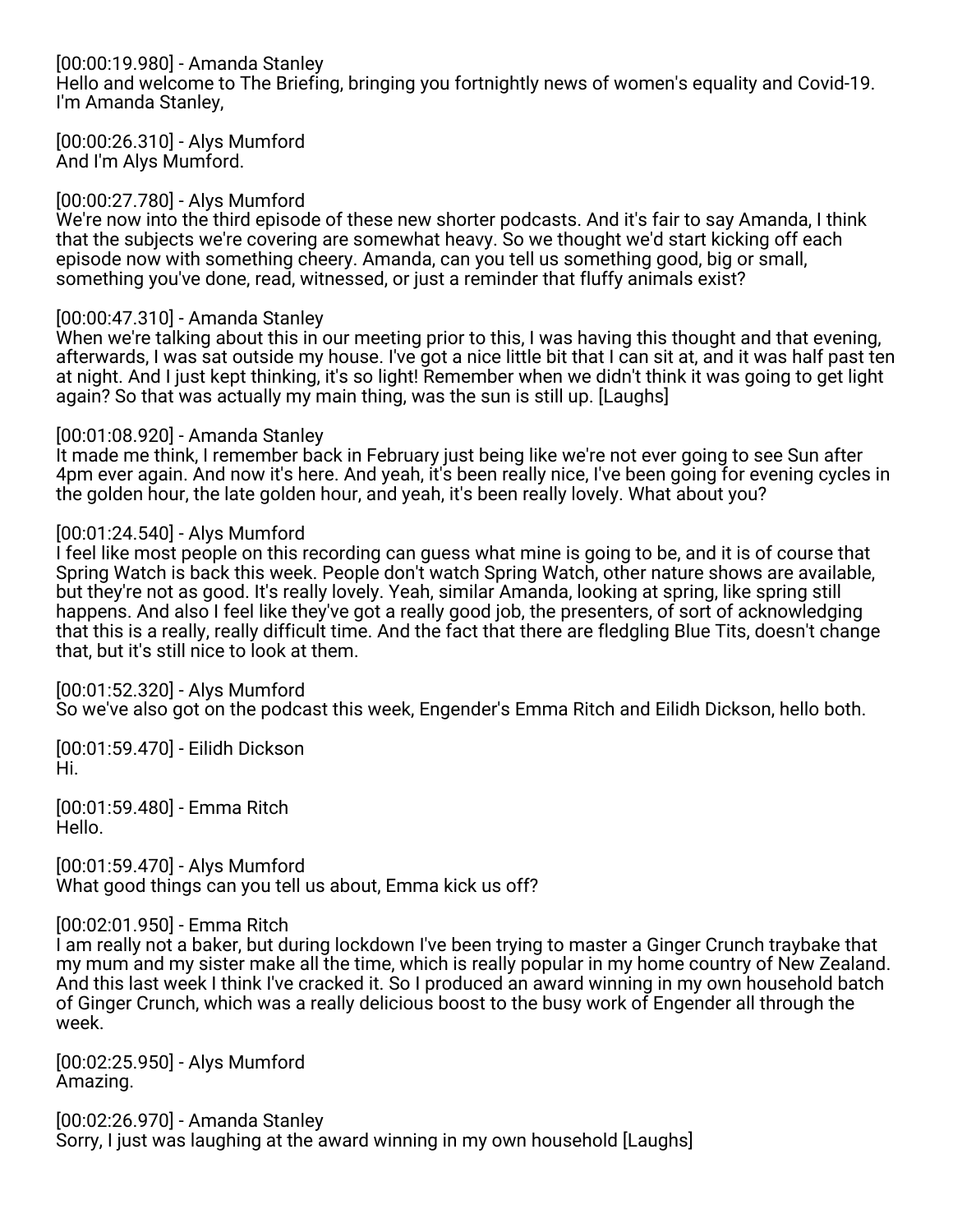# [00:00:19.980] - Amanda Stanley

Hello and welcome to The Briefing, bringing you fortnightly news of women's equality and Covid-19. I'm Amanda Stanley,

[00:00:26.310] - Alys Mumford And I'm Alys Mumford.

## [00:00:27.780] - Alys Mumford

We're now into the third episode of these new shorter podcasts. And it's fair to say Amanda, I think that the subjects we're covering are somewhat heavy. So we thought we'd start kicking off each episode now with something cheery. Amanda, can you tell us something good, big or small, something you've done, read, witnessed, or just a reminder that fluffy animals exist?

## [00:00:47.310] - Amanda Stanley

When we're talking about this in our meeting prior to this, I was having this thought and that evening, afterwards, I was sat outside my house. I've got a nice little bit that I can sit at, and it was half past ten at night. And I just kept thinking, it's so light! Remember when we didn't think it was going to get light again? So that was actually my main thing, was the sun is still up. [Laughs]

### [00:01:08.920] - Amanda Stanley

It made me think, I remember back in February just being like we're not ever going to see Sun after 4pm ever again. And now it's here. And yeah, it's been really nice, I've been going for evening cycles in the golden hour, the late golden hour, and yeah, it's been really lovely. What about you?

## [00:01:24.540] - Alys Mumford

I feel like most people on this recording can guess what mine is going to be, and it is of course that Spring Watch is back this week. People don't watch Spring Watch, other nature shows are available, but they're not as good. It's really lovely. Yeah, similar Amanda, looking at spring, like spring still happens. And also I feel like they've got a really good job, the presenters, of sort of acknowledging that this is a really, really difficult time. And the fact that there are fledgling Blue Tits, doesn't change that, but it's still nice to look at them.

[00:01:52.320] - Alys Mumford So we've also got on the podcast this week, Engender's Emma Ritch and Eilidh Dickson, hello both.

[00:01:59.470] - Eilidh Dickson Hi.

[00:01:59.480] - Emma Ritch Hello.

[00:01:59.470] - Alys Mumford What good things can you tell us about, Emma kick us off?

[00:02:01.950] - Emma Ritch

I am really not a baker, but during lockdown I've been trying to master a Ginger Crunch traybake that my mum and my sister make all the time, which is really popular in my home country of New Zealand. And this last week I think I've cracked it. So I produced an award winning in my own household batch of Ginger Crunch, which was a really delicious boost to the busy work of Engender all through the week.

[00:02:25.950] - Alys Mumford Amazing.

[00:02:26.970] - Amanda Stanley Sorry, I just was laughing at the award winning in my own household [Laughs]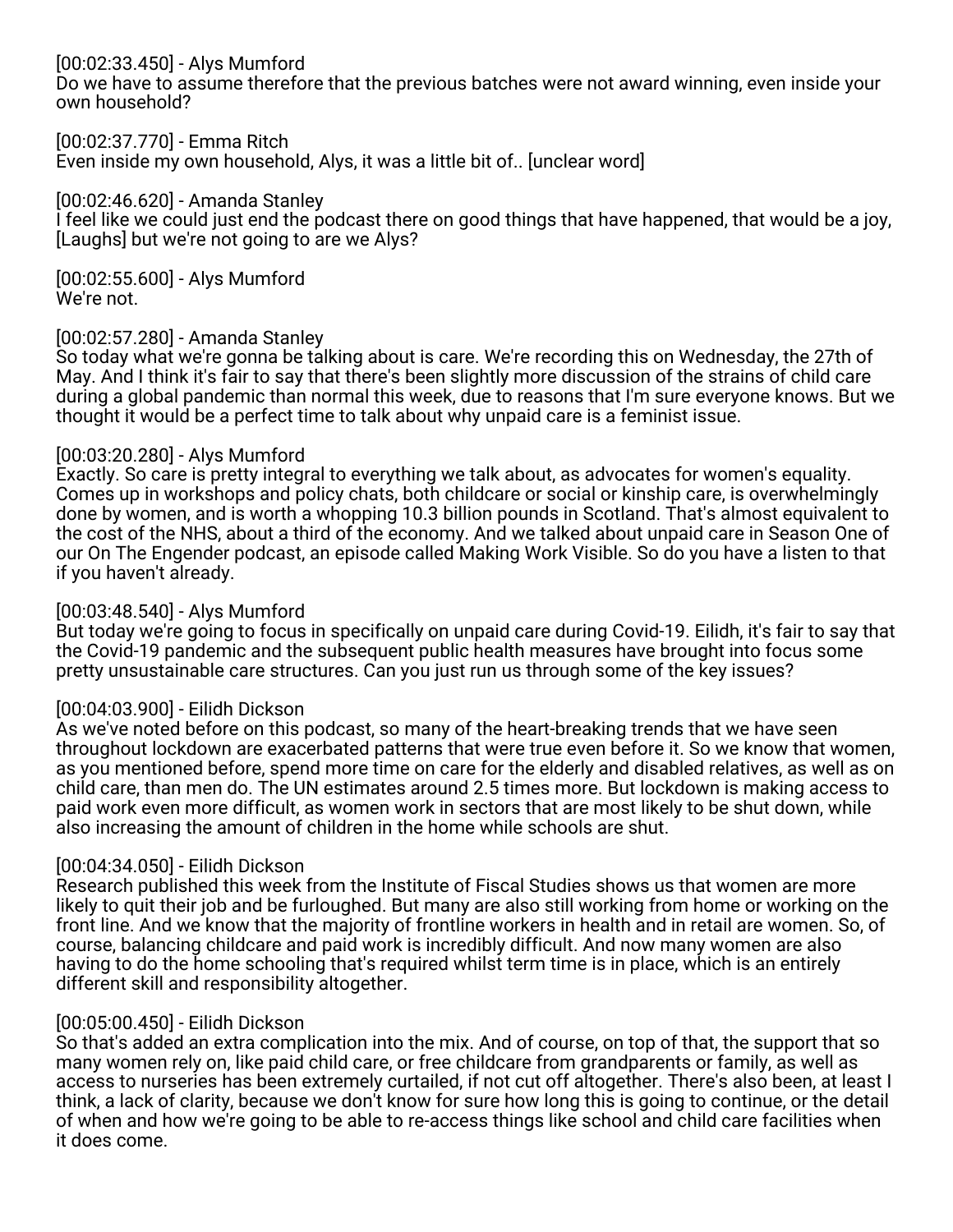## [00:02:33.450] - Alys Mumford

Do we have to assume therefore that the previous batches were not award winning, even inside your own household?

[00:02:37.770] - Emma Ritch

Even inside my own household, Alys, it was a little bit of.. [unclear word]

### [00:02:46.620] - Amanda Stanley

I feel like we could just end the podcast there on good things that have happened, that would be a joy, [Laughs] but we're not going to are we Alys?

[00:02:55.600] - Alys Mumford We're not.

### [00:02:57.280] - Amanda Stanley

So today what we're gonna be talking about is care. We're recording this on Wednesday, the 27th of May. And I think it's fair to say that there's been slightly more discussion of the strains of child care during a global pandemic than normal this week, due to reasons that I'm sure everyone knows. But we thought it would be a perfect time to talk about why unpaid care is a feminist issue.

### [00:03:20.280] - Alys Mumford

Exactly. So care is pretty integral to everything we talk about, as advocates for women's equality. Comes up in workshops and policy chats, both childcare or social or kinship care, is overwhelmingly done by women, and is worth a whopping 10.3 billion pounds in Scotland. That's almost equivalent to the cost of the NHS, about a third of the economy. And we talked about unpaid care in Season One of our On The Engender podcast, an episode called Making Work Visible. So do you have a listen to that if you haven't already.

### [00:03:48.540] - Alys Mumford

But today we're going to focus in specifically on unpaid care during Covid-19. Eilidh, it's fair to say that the Covid-19 pandemic and the subsequent public health measures have brought into focus some pretty unsustainable care structures. Can you just run us through some of the key issues?

## [00:04:03.900] - Eilidh Dickson

As we've noted before on this podcast, so many of the heart-breaking trends that we have seen throughout lockdown are exacerbated patterns that were true even before it. So we know that women, as you mentioned before, spend more time on care for the elderly and disabled relatives, as well as on child care, than men do. The UN estimates around 2.5 times more. But lockdown is making access to paid work even more difficult, as women work in sectors that are most likely to be shut down, while also increasing the amount of children in the home while schools are shut.

## [00:04:34.050] - Eilidh Dickson

Research published this week from the Institute of Fiscal Studies shows us that women are more likely to quit their job and be furloughed. But many are also still working from home or working on the front line. And we know that the majority of frontline workers in health and in retail are women. So, of course, balancing childcare and paid work is incredibly difficult. And now many women are also having to do the home schooling that's required whilst term time is in place, which is an entirely different skill and responsibility altogether.

#### [00:05:00.450] - Eilidh Dickson

So that's added an extra complication into the mix. And of course, on top of that, the support that so many women rely on, like paid child care, or free childcare from grandparents or family, as well as access to nurseries has been extremely curtailed, if not cut off altogether. There's also been, at least I think, a lack of clarity, because we don't know for sure how long this is going to continue, or the detail of when and how we're going to be able to re-access things like school and child care facilities when it does come.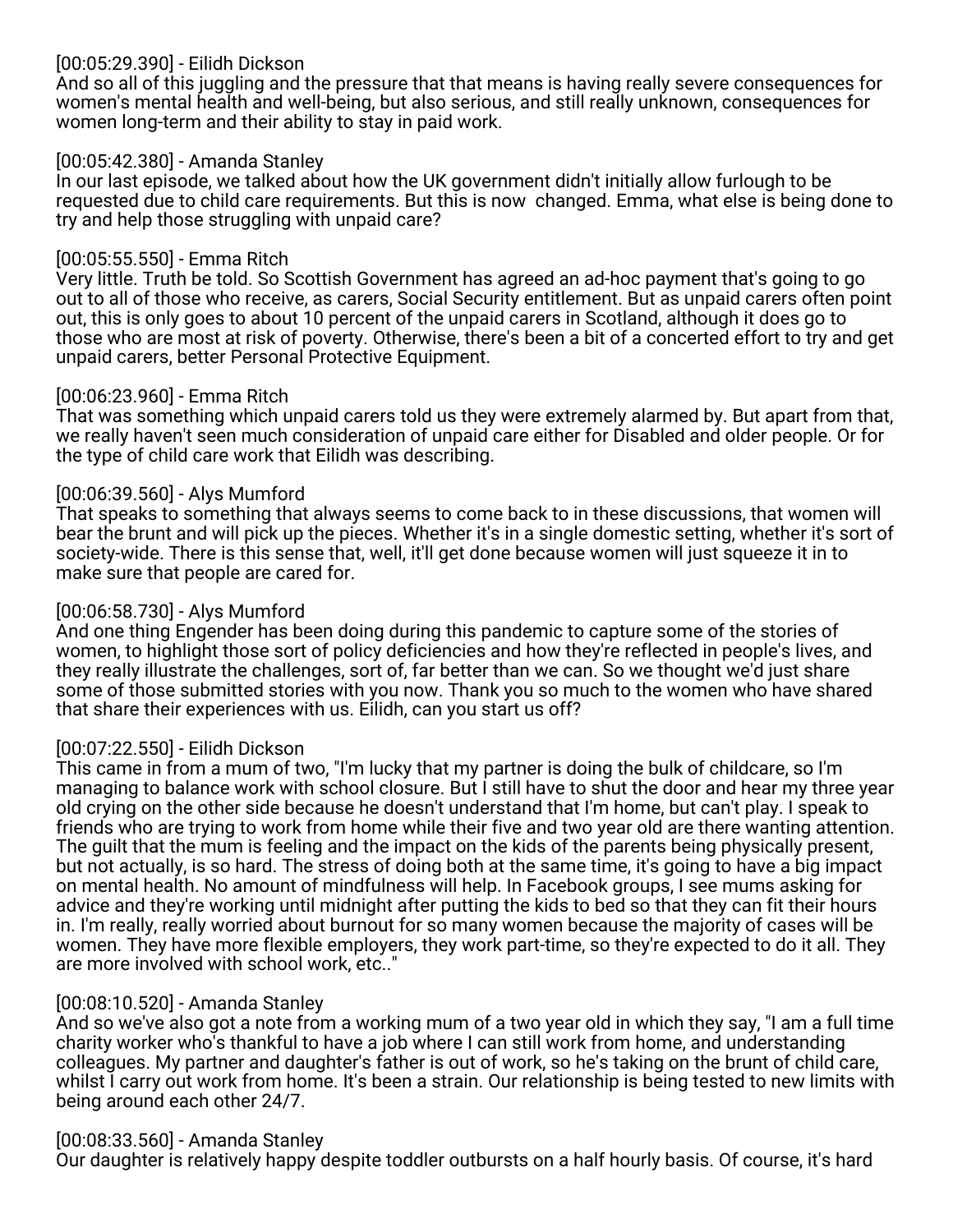# [00:05:29.390] - Eilidh Dickson

And so all of this juggling and the pressure that that means is having really severe consequences for women's mental health and well-being, but also serious, and still really unknown, consequences for women long-term and their ability to stay in paid work.

### [00:05:42.380] - Amanda Stanley

In our last episode, we talked about how the UK government didn't initially allow furlough to be requested due to child care requirements. But this is now changed. Emma, what else is being done to try and help those struggling with unpaid care?

### [00:05:55.550] - Emma Ritch

Very little. Truth be told. So Scottish Government has agreed an ad-hoc payment that's going to go out to all of those who receive, as carers, Social Security entitlement. But as unpaid carers often point out, this is only goes to about 10 percent of the unpaid carers in Scotland, although it does go to those who are most at risk of poverty. Otherwise, there's been a bit of a concerted effort to try and get unpaid carers, better Personal Protective Equipment.

#### [00:06:23.960] - Emma Ritch

That was something which unpaid carers told us they were extremely alarmed by. But apart from that, we really haven't seen much consideration of unpaid care either for Disabled and older people. Or for the type of child care work that Eilidh was describing.

## [00:06:39.560] - Alys Mumford

That speaks to something that always seems to come back to in these discussions, that women will bear the brunt and will pick up the pieces. Whether it's in a single domestic setting, whether it's sort of society-wide. There is this sense that, well, it'll get done because women will just squeeze it in to make sure that people are cared for.

### [00:06:58.730] - Alys Mumford

And one thing Engender has been doing during this pandemic to capture some of the stories of women, to highlight those sort of policy deficiencies and how they're reflected in people's lives, and they really illustrate the challenges, sort of, far better than we can. So we thought we'd just share some of those submitted stories with you now. Thank you so much to the women who have shared that share their experiences with us. Eilidh, can you start us off?

## [00:07:22.550] - Eilidh Dickson

This came in from a mum of two, "I'm lucky that my partner is doing the bulk of childcare, so I'm managing to balance work with school closure. But I still have to shut the door and hear my three year old crying on the other side because he doesn't understand that I'm home, but can't play. I speak to friends who are trying to work from home while their five and two year old are there wanting attention. The guilt that the mum is feeling and the impact on the kids of the parents being physically present, but not actually, is so hard. The stress of doing both at the same time, it's going to have a big impact on mental health. No amount of mindfulness will help. In Facebook groups, I see mums asking for advice and they're working until midnight after putting the kids to bed so that they can fit their hours in. I'm really, really worried about burnout for so many women because the majority of cases will be women. They have more flexible employers, they work part-time, so they're expected to do it all. They are more involved with school work, etc.."

#### [00:08:10.520] - Amanda Stanley

And so we've also got a note from a working mum of a two year old in which they say, "I am a full time charity worker who's thankful to have a job where I can still work from home, and understanding colleagues. My partner and daughter's father is out of work, so he's taking on the brunt of child care, whilst I carry out work from home. It's been a strain. Our relationship is being tested to new limits with being around each other 24/7.

#### [00:08:33.560] - Amanda Stanley

Our daughter is relatively happy despite toddler outbursts on a half hourly basis. Of course, it's hard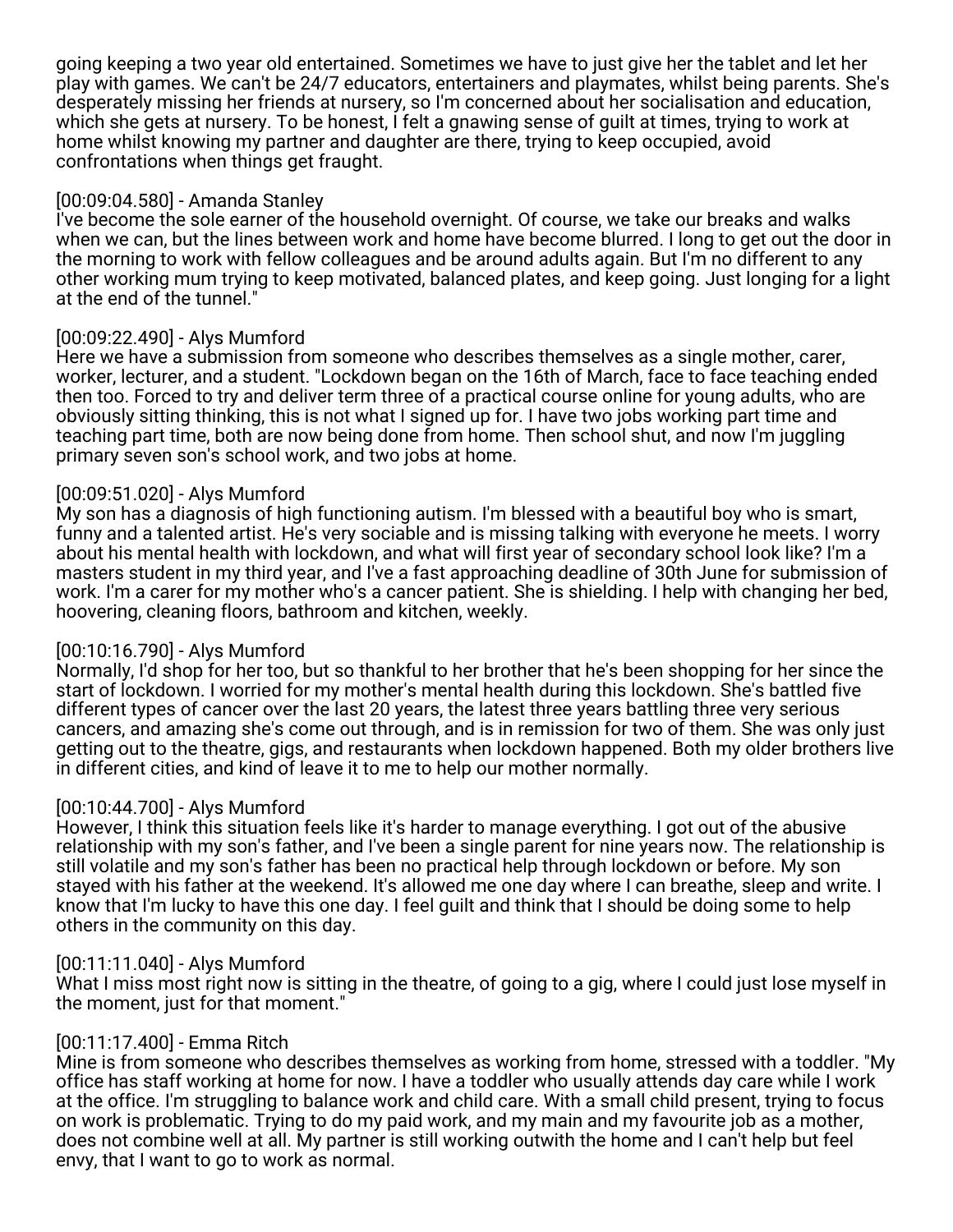going keeping a two year old entertained. Sometimes we have to just give her the tablet and let her play with games. We can't be 24/7 educators, entertainers and playmates, whilst being parents. She's desperately missing her friends at nursery, so I'm concerned about her socialisation and education, which she gets at nursery. To be honest, I felt a gnawing sense of guilt at times, trying to work at home whilst knowing my partner and daughter are there, trying to keep occupied, avoid confrontations when things get fraught.

### [00:09:04.580] - Amanda Stanley

I've become the sole earner of the household overnight. Of course, we take our breaks and walks when we can, but the lines between work and home have become blurred. I long to get out the door in the morning to work with fellow colleagues and be around adults again. But I'm no different to any other working mum trying to keep motivated, balanced plates, and keep going. Just longing for a light at the end of the tunnel."

## [00:09:22.490] - Alys Mumford

Here we have a submission from someone who describes themselves as a single mother, carer, worker, lecturer, and a student. "Lockdown began on the 16th of March, face to face teaching ended then too. Forced to try and deliver term three of a practical course online for young adults, who are obviously sitting thinking, this is not what I signed up for. I have two jobs working part time and teaching part time, both are now being done from home. Then school shut, and now I'm juggling primary seven son's school work, and two jobs at home.

### [00:09:51.020] - Alys Mumford

My son has a diagnosis of high functioning autism. I'm blessed with a beautiful boy who is smart, funny and a talented artist. He's very sociable and is missing talking with everyone he meets. I worry about his mental health with lockdown, and what will first year of secondary school look like? I'm a masters student in my third year, and I've a fast approaching deadline of 30th June for submission of work. I'm a carer for my mother who's a cancer patient. She is shielding. I help with changing her bed, hoovering, cleaning floors, bathroom and kitchen, weekly.

#### [00:10:16.790] - Alys Mumford

Normally, I'd shop for her too, but so thankful to her brother that he's been shopping for her since the start of lockdown. I worried for my mother's mental health during this lockdown. She's battled five different types of cancer over the last 20 years, the latest three years battling three very serious cancers, and amazing she's come out through, and is in remission for two of them. She was only just getting out to the theatre, gigs, and restaurants when lockdown happened. Both my older brothers live in different cities, and kind of leave it to me to help our mother normally.

#### [00:10:44.700] - Alys Mumford

However, I think this situation feels like it's harder to manage everything. I got out of the abusive relationship with my son's father, and I've been a single parent for nine years now. The relationship is still volatile and my son's father has been no practical help through lockdown or before. My son stayed with his father at the weekend. It's allowed me one day where I can breathe, sleep and write. I know that I'm lucky to have this one day. I feel guilt and think that I should be doing some to help others in the community on this day.

#### [00:11:11.040] - Alys Mumford

What I miss most right now is sitting in the theatre, of going to a gig, where I could just lose myself in the moment, just for that moment."

## [00:11:17.400] - Emma Ritch

Mine is from someone who describes themselves as working from home, stressed with a toddler. "My office has staff working at home for now. I have a toddler who usually attends day care while I work at the office. I'm struggling to balance work and child care. With a small child present, trying to focus on work is problematic. Trying to do my paid work, and my main and my favourite job as a mother, does not combine well at all. My partner is still working outwith the home and I can't help but feel envy, that I want to go to work as normal.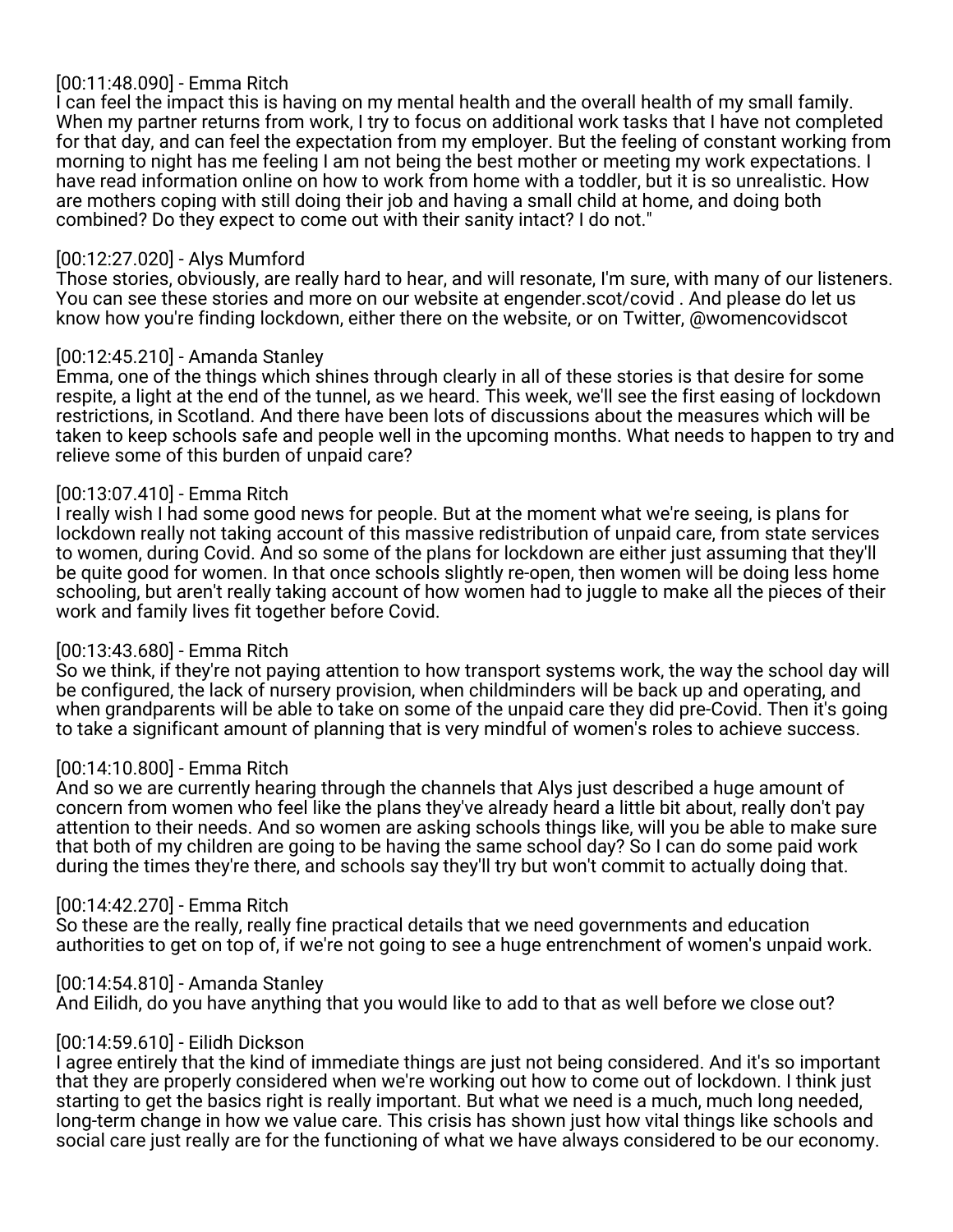# [00:11:48.090] - Emma Ritch

I can feel the impact this is having on my mental health and the overall health of my small family. When my partner returns from work, I try to focus on additional work tasks that I have not completed for that day, and can feel the expectation from my employer. But the feeling of constant working from morning to night has me feeling I am not being the best mother or meeting my work expectations. I have read information online on how to work from home with a toddler, but it is so unrealistic. How are mothers coping with still doing their job and having a small child at home, and doing both combined? Do they expect to come out with their sanity intact? I do not."

## [00:12:27.020] - Alys Mumford

Those stories, obviously, are really hard to hear, and will resonate, I'm sure, with many of our listeners. You can see these stories and more on our website at engender.scot/covid . And please do let us know how you're finding lockdown, either there on the website, or on Twitter, @womencovidscot

### [00:12:45.210] - Amanda Stanley

Emma, one of the things which shines through clearly in all of these stories is that desire for some respite, a light at the end of the tunnel, as we heard. This week, we'll see the first easing of lockdown restrictions, in Scotland. And there have been lots of discussions about the measures which will be taken to keep schools safe and people well in the upcoming months. What needs to happen to try and relieve some of this burden of unpaid care?

## [00:13:07.410] - Emma Ritch

I really wish I had some good news for people. But at the moment what we're seeing, is plans for lockdown really not taking account of this massive redistribution of unpaid care, from state services to women, during Covid. And so some of the plans for lockdown are either just assuming that they'll be quite good for women. In that once schools slightly re-open, then women will be doing less home schooling, but aren't really taking account of how women had to juggle to make all the pieces of their work and family lives fit together before Covid.

## [00:13:43.680] - Emma Ritch

So we think, if they're not paying attention to how transport systems work, the way the school day will be configured, the lack of nursery provision, when childminders will be back up and operating, and when grandparents will be able to take on some of the unpaid care they did pre-Covid. Then it's going to take a significant amount of planning that is very mindful of women's roles to achieve success.

## [00:14:10.800] - Emma Ritch

And so we are currently hearing through the channels that Alys just described a huge amount of concern from women who feel like the plans they've already heard a little bit about, really don't pay attention to their needs. And so women are asking schools things like, will you be able to make sure that both of my children are going to be having the same school day? So I can do some paid work during the times they're there, and schools say they'll try but won't commit to actually doing that.

#### [00:14:42.270] - Emma Ritch

So these are the really, really fine practical details that we need governments and education authorities to get on top of, if we're not going to see a huge entrenchment of women's unpaid work.

[00:14:54.810] - Amanda Stanley

And Eilidh, do you have anything that you would like to add to that as well before we close out?

#### [00:14:59.610] - Eilidh Dickson

I agree entirely that the kind of immediate things are just not being considered. And it's so important that they are properly considered when we're working out how to come out of lockdown. I think just starting to get the basics right is really important. But what we need is a much, much long needed, long-term change in how we value care. This crisis has shown just how vital things like schools and social care just really are for the functioning of what we have always considered to be our economy.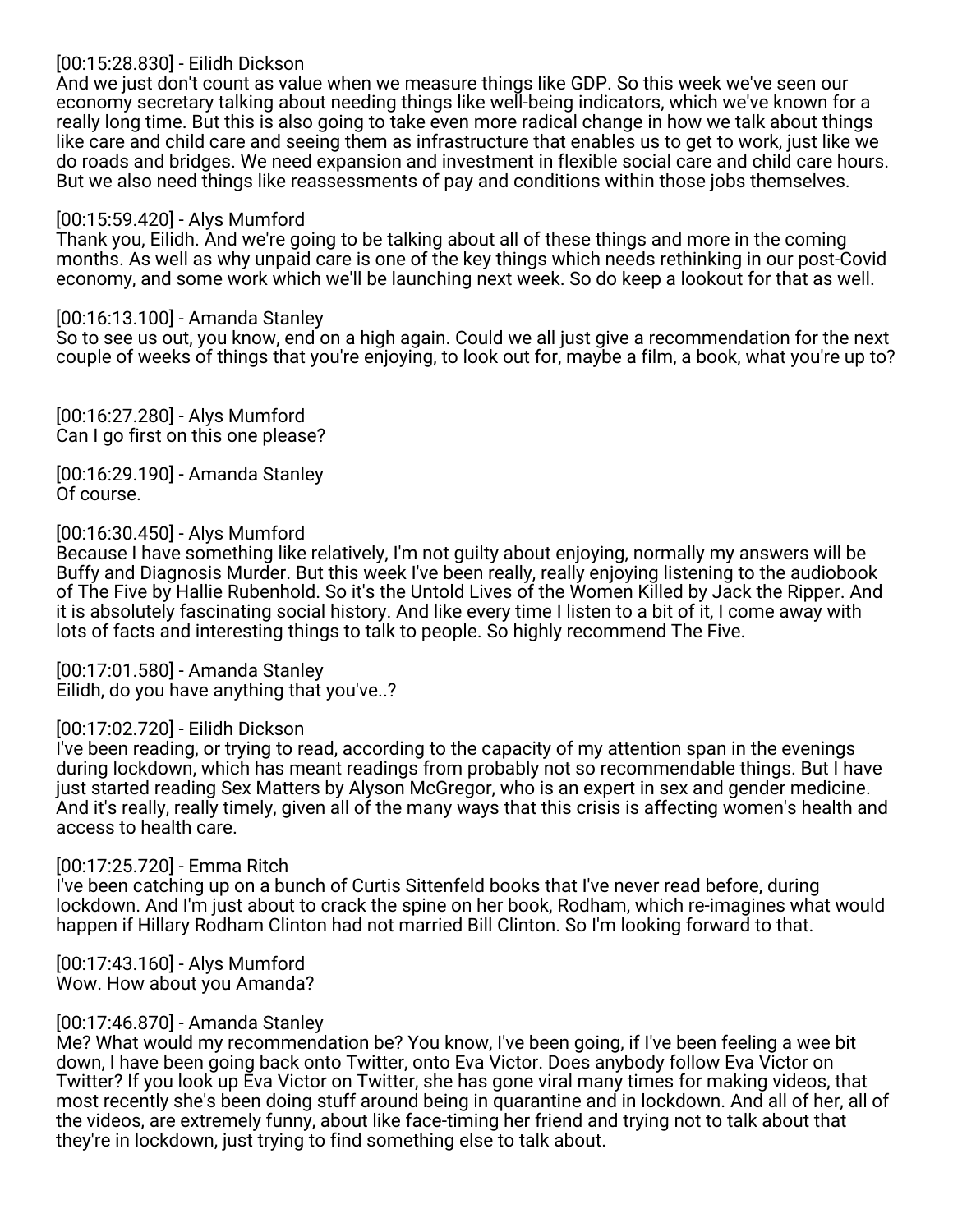## [00:15:28.830] - Eilidh Dickson

And we just don't count as value when we measure things like GDP. So this week we've seen our economy secretary talking about needing things like well-being indicators, which we've known for a really long time. But this is also going to take even more radical change in how we talk about things like care and child care and seeing them as infrastructure that enables us to get to work, just like we do roads and bridges. We need expansion and investment in flexible social care and child care hours. But we also need things like reassessments of pay and conditions within those jobs themselves.

### [00:15:59.420] - Alys Mumford

Thank you, Eilidh. And we're going to be talking about all of these things and more in the coming months. As well as why unpaid care is one of the key things which needs rethinking in our post-Covid economy, and some work which we'll be launching next week. So do keep a lookout for that as well.

### [00:16:13.100] - Amanda Stanley

So to see us out, you know, end on a high again. Could we all just give a recommendation for the next couple of weeks of things that you're enjoying, to look out for, maybe a film, a book, what you're up to?

[00:16:27.280] - Alys Mumford Can I go first on this one please?

[00:16:29.190] - Amanda Stanley Of course.

# [00:16:30.450] - Alys Mumford

Because I have something like relatively, I'm not guilty about enjoying, normally my answers will be Buffy and Diagnosis Murder. But this week I've been really, really enjoying listening to the audiobook of The Five by Hallie Rubenhold. So it's the Untold Lives of the Women Killed by Jack the Ripper. And it is absolutely fascinating social history. And like every time I listen to a bit of it, I come away with lots of facts and interesting things to talk to people. So highly recommend The Five.

[00:17:01.580] - Amanda Stanley Eilidh, do you have anything that you've..?

## [00:17:02.720] - Eilidh Dickson

I've been reading, or trying to read, according to the capacity of my attention span in the evenings during lockdown, which has meant readings from probably not so recommendable things. But I have just started reading Sex Matters by Alyson McGregor, who is an expert in sex and gender medicine. And it's really, really timely, given all of the many ways that this crisis is affecting women's health and access to health care.

#### [00:17:25.720] - Emma Ritch

I've been catching up on a bunch of Curtis Sittenfeld books that I've never read before, during lockdown. And I'm just about to crack the spine on her book, Rodham, which re-imagines what would happen if Hillary Rodham Clinton had not married Bill Clinton. So I'm looking forward to that.

[00:17:43.160] - Alys Mumford Wow. How about you Amanda?

#### [00:17:46.870] - Amanda Stanley

Me? What would my recommendation be? You know, I've been going, if I've been feeling a wee bit down, I have been going back onto Twitter, onto Eva Victor. Does anybody follow Eva Victor on Twitter? If you look up Eva Victor on Twitter, she has gone viral many times for making videos, that most recently she's been doing stuff around being in quarantine and in lockdown. And all of her, all of the videos, are extremely funny, about like face-timing her friend and trying not to talk about that they're in lockdown, just trying to find something else to talk about.